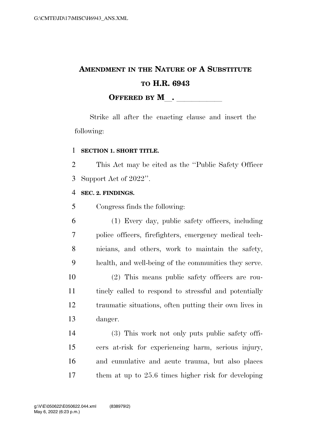## **AMENDMENT IN THE NATURE OF A SUBSTITUTE TO H.R. 6943 OFFERED BY M**.

Strike all after the enacting clause and insert the following:

## **SECTION 1. SHORT TITLE.**

 This Act may be cited as the ''Public Safety Officer Support Act of 2022''.

## **SEC. 2. FINDINGS.**

Congress finds the following:

 (1) Every day, public safety officers, including police officers, firefighters, emergency medical tech- nicians, and others, work to maintain the safety, health, and well-being of the communities they serve. (2) This means public safety officers are rou- tinely called to respond to stressful and potentially traumatic situations, often putting their own lives in danger. (3) This work not only puts public safety offi-

 cers at-risk for experiencing harm, serious injury, and cumulative and acute trauma, but also places them at up to 25.6 times higher risk for developing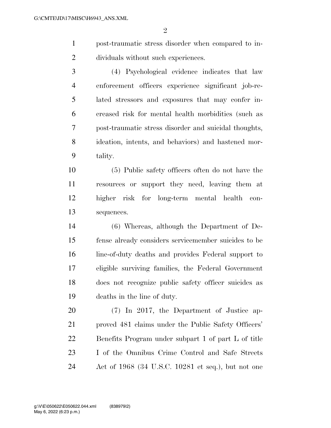- post-traumatic stress disorder when compared to in-dividuals without such experiences.
- (4) Psychological evidence indicates that law enforcement officers experience significant job-re- lated stressors and exposures that may confer in- creased risk for mental health morbidities (such as post-traumatic stress disorder and suicidal thoughts, ideation, intents, and behaviors) and hastened mor-tality.

 (5) Public safety officers often do not have the resources or support they need, leaving them at higher risk for long-term mental health con-sequences.

 (6) Whereas, although the Department of De- fense already considers servicemember suicides to be line-of-duty deaths and provides Federal support to eligible surviving families, the Federal Government does not recognize public safety officer suicides as deaths in the line of duty.

 (7) In 2017, the Department of Justice ap- proved 481 claims under the Public Safety Officers' Benefits Program under subpart 1 of part L of title I of the Omnibus Crime Control and Safe Streets Act of 1968 (34 U.S.C. 10281 et seq.), but not one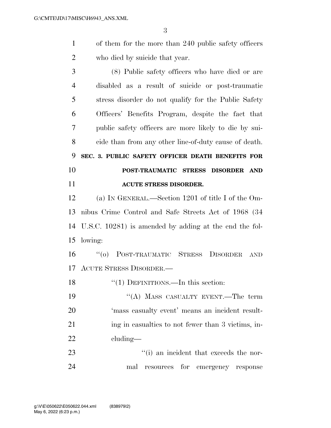of them for the more than 240 public safety officers who died by suicide that year.

 (8) Public safety officers who have died or are disabled as a result of suicide or post-traumatic stress disorder do not qualify for the Public Safety Officers' Benefits Program, despite the fact that public safety officers are more likely to die by sui- cide than from any other line-of-duty cause of death. **SEC. 3. PUBLIC SAFETY OFFICER DEATH BENEFITS FOR POST-TRAUMATIC STRESS DISORDER AND ACUTE STRESS DISORDER.** 

 (a) IN GENERAL.—Section 1201 of title I of the Om- nibus Crime Control and Safe Streets Act of 1968 (34 U.S.C. 10281) is amended by adding at the end the fol-lowing:

 ''(o) POST-TRAUMATIC STRESS DISORDER AND ACUTE STRESS DISORDER.—

18 "(1) DEFINITIONS.—In this section:

19 "(A) MASS CASUALTY EVENT.—The term 'mass casualty event' means an incident result-21 ing in casualties to not fewer than 3 victims, in-cluding—

23  $\frac{1}{1}$  an incident that exceeds the nor-mal resources for emergency response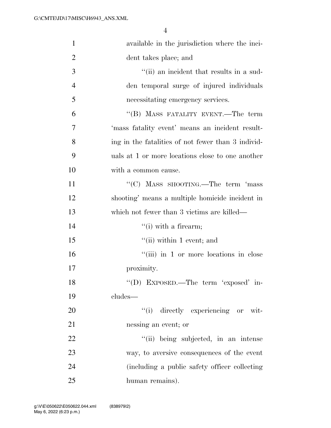| $\mathbf{1}$   | available in the jurisdiction where the inci-      |
|----------------|----------------------------------------------------|
| $\overline{2}$ | dent takes place; and                              |
| 3              | "(ii) an incident that results in a sud-           |
| $\overline{4}$ | den temporal surge of injured individuals          |
| 5              | necessitating emergency services.                  |
| 6              | "(B) MASS FATALITY EVENT.—The term                 |
| 7              | 'mass fatality event' means an incident result-    |
| 8              | ing in the fatalities of not fewer than 3 individ- |
| 9              | uals at 1 or more locations close to one another   |
| 10             | with a common cause.                               |
| 11             | "(C) MASS SHOOTING.—The term 'mass                 |
| 12             | shooting' means a multiple homicide incident in    |
| 13             | which not fewer than 3 victims are killed—         |
| 14             | $\lq\lq$ (i) with a firearm;                       |
| 15             | $\lq\lq$ (ii) within 1 event; and                  |
| 16             | "(iii) in 1 or more locations in close             |
| 17             | proximity.                                         |
| 18             | "(D) EXPOSED.—The term 'exposed' in-               |
| 19             | cludes-                                            |
| 20             | "(i) directly experiencing or wit-                 |
| 21             | nessing an event; or                               |
| 22             | "(ii) being subjected, in an intense               |
| 23             | way, to aversive consequences of the event         |
| 24             | (including a public safety officer collecting)     |
| 25             | human remains).                                    |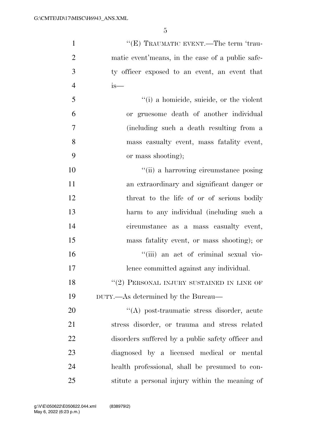| $\mathbf{1}$   | "(E) TRAUMATIC EVENT.—The term 'trau-             |
|----------------|---------------------------------------------------|
| $\overline{2}$ | matic event'means, in the case of a public safe-  |
| 3              | ty officer exposed to an event, an event that     |
| $\overline{4}$ | $is-$                                             |
| 5              | "(i) a homicide, suicide, or the violent          |
| 6              | or gruesome death of another individual           |
| 7              | (including such a death resulting from a          |
| 8              | mass casualty event, mass fatality event,         |
| 9              | or mass shooting);                                |
| 10             | "(ii) a harrowing circumstance posing             |
| 11             | an extraordinary and significant danger or        |
| 12             | threat to the life of or of serious bodily        |
| 13             | harm to any individual (including such a          |
| 14             | circumstance as a mass casualty event,            |
| 15             | mass fatality event, or mass shooting); or        |
| 16             | "(iii) an act of criminal sexual vio-             |
| 17             | lence committed against any individual.           |
| 18             | $``(2)$ PERSONAL INJURY SUSTAINED IN LINE OF      |
| 19             | DUTY.—As determined by the Bureau—                |
| 20             | "(A) post-traumatic stress disorder, acute        |
| 21             | stress disorder, or trauma and stress related     |
| 22             | disorders suffered by a public safety officer and |
| 23             | diagnosed by a licensed medical or mental         |
| 24             | health professional, shall be presumed to con-    |
| 25             | stitute a personal injury within the meaning of   |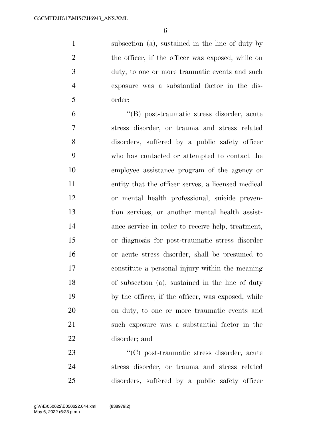subsection (a), sustained in the line of duty by 2 the officer, if the officer was exposed, while on duty, to one or more traumatic events and such exposure was a substantial factor in the dis-order;

 ''(B) post-traumatic stress disorder, acute stress disorder, or trauma and stress related disorders, suffered by a public safety officer who has contacted or attempted to contact the employee assistance program of the agency or entity that the officer serves, a licensed medical or mental health professional, suicide preven- tion services, or another mental health assist- ance service in order to receive help, treatment, or diagnosis for post-traumatic stress disorder or acute stress disorder, shall be presumed to constitute a personal injury within the meaning of subsection (a), sustained in the line of duty by the officer, if the officer, was exposed, while on duty, to one or more traumatic events and such exposure was a substantial factor in the disorder; and

23 ''(C) post-traumatic stress disorder, acute stress disorder, or trauma and stress related disorders, suffered by a public safety officer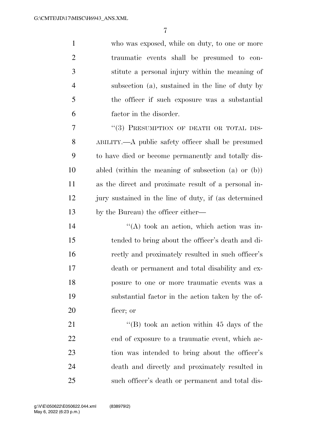who was exposed, while on duty, to one or more traumatic events shall be presumed to con- stitute a personal injury within the meaning of subsection (a), sustained in the line of duty by the officer if such exposure was a substantial factor in the disorder.

7 "(3) PRESUMPTION OF DEATH OR TOTAL DIS- ABILITY.—A public safety officer shall be presumed to have died or become permanently and totally dis- abled (within the meaning of subsection (a) or (b)) as the direct and proximate result of a personal in- jury sustained in the line of duty, if (as determined by the Bureau) the officer either—

14 ''(A) took an action, which action was in- tended to bring about the officer's death and di- rectly and proximately resulted in such officer's death or permanent and total disability and ex- posure to one or more traumatic events was a substantial factor in the action taken by the of-ficer; or

21 ''(B) took an action within 45 days of the end of exposure to a traumatic event, which ac- tion was intended to bring about the officer's death and directly and proximately resulted in such officer's death or permanent and total dis-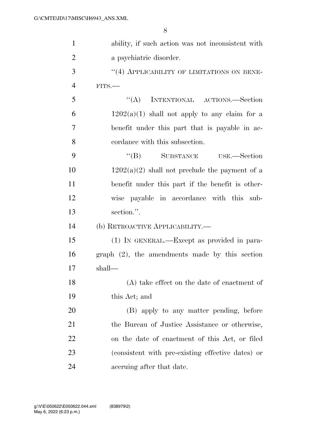| $\mathbf{1}$   | ability, if such action was not inconsistent with |
|----------------|---------------------------------------------------|
| $\overline{2}$ | a psychiatric disorder.                           |
| 3              | $``(4)$ APPLICABILITY OF LIMITATIONS ON BENE-     |
| $\overline{4}$ | $FITS$ .                                          |
| 5              | INTENTIONAL ACTIONS.-Section<br>``(A)             |
| 6              | $1202(a)(1)$ shall not apply to any claim for a   |
| 7              | benefit under this part that is payable in ac-    |
| 8              | cordance with this subsection.                    |
| 9              | "(B) SUBSTANCE USE.—Section                       |
| 10             | $1202(a)(2)$ shall not preclude the payment of a  |
| 11             | benefit under this part if the benefit is other-  |
| 12             | wise payable in accordance with this sub-         |
| 13             | section.".                                        |
| 14             | (b) RETROACTIVE APPLICABILITY.—                   |
| 15             | (1) IN GENERAL.—Except as provided in para-       |
| 16             | $graph (2)$ , the amendments made by this section |
| 17             | shall—                                            |
| 18             | $(A)$ take effect on the date of enactment of     |
| 19             | this Act; and                                     |
| 20             | (B) apply to any matter pending, before           |
| 21             | the Bureau of Justice Assistance or otherwise,    |
| 22             | on the date of enactment of this Act, or filed    |
| 23             | (consistent with pre-existing effective dates) or |
| 24             | accruing after that date.                         |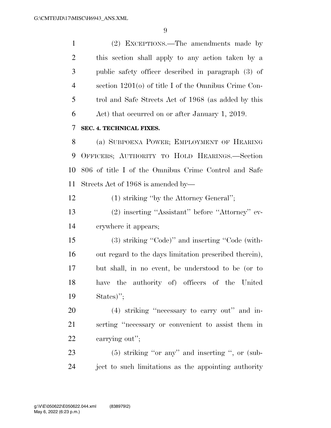(2) EXCEPTIONS.—The amendments made by this section shall apply to any action taken by a public safety officer described in paragraph (3) of section 1201(o) of title I of the Omnibus Crime Con- trol and Safe Streets Act of 1968 (as added by this Act) that occurred on or after January 1, 2019. **SEC. 4. TECHNICAL FIXES.** 

 (a) SUBPOENA POWER; EMPLOYMENT OF HEARING OFFICERS; AUTHORITY TO HOLD HEARINGS.—Section 806 of title I of the Omnibus Crime Control and Safe Streets Act of 1968 is amended by—

(1) striking ''by the Attorney General'';

 (2) inserting ''Assistant'' before ''Attorney'' ev-erywhere it appears;

 (3) striking ''Code)'' and inserting ''Code (with- out regard to the days limitation prescribed therein), but shall, in no event, be understood to be (or to have the authority of) officers of the United States)'';

 (4) striking ''necessary to carry out'' and in- serting ''necessary or convenient to assist them in carrying out'';

 (5) striking ''or any'' and inserting '', or (sub-ject to such limitations as the appointing authority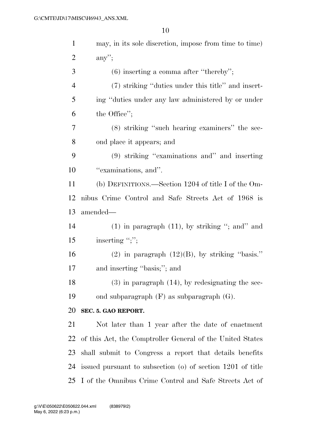| $\mathbf{1}$   | may, in its sole discretion, impose from time to time)     |
|----------------|------------------------------------------------------------|
| $\overline{c}$ | $any$ ";                                                   |
| 3              | $(6)$ inserting a comma after "thereby";                   |
| $\overline{4}$ | (7) striking "duties under this title" and insert-         |
| 5              | ing "duties under any law administered by or under         |
| 6              | the Office";                                               |
| 7              | (8) striking "such hearing examiners" the sec-             |
| 8              | ond place it appears; and                                  |
| 9              | (9) striking "examinations and" and inserting              |
| 10             | "examinations, and".                                       |
| 11             | (b) DEFINITIONS.—Section 1204 of title I of the Om-        |
| 12             | nibus Crime Control and Safe Streets Act of 1968 is        |
| 13             | amended—                                                   |
| 14             | $(1)$ in paragraph $(11)$ , by striking "; and" and        |
| 15             | inserting ";";                                             |
| 16             | $(2)$ in paragraph $(12)(B)$ , by striking "basis."        |
| 17             | and inserting "basis;"; and                                |
| 18             | $(3)$ in paragraph $(14)$ , by redesignating the sec-      |
| 19             | ond subparagraph $(F)$ as subparagraph $(G)$ .             |
| 20             | SEC. 5. GAO REPORT.                                        |
| 21             | Not later than 1 year after the date of enactment          |
| 22             | of this Act, the Comptroller General of the United States  |
| 23             | shall submit to Congress a report that details benefits    |
| 24             | issued pursuant to subsection (o) of section 1201 of title |
|                | 25 I of the Omnibus Crime Control and Safe Streets Act of  |